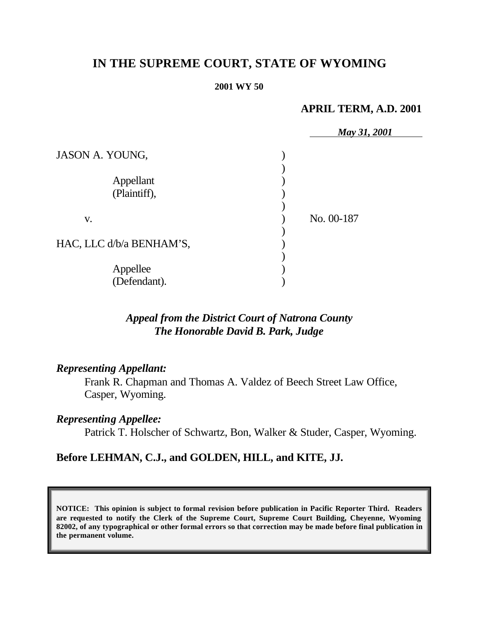# **IN THE SUPREME COURT, STATE OF WYOMING**

#### **2001 WY 50**

## **APRIL TERM, A.D. 2001**

|                          | May 31, 2001 |
|--------------------------|--------------|
| JASON A. YOUNG,          |              |
|                          |              |
| Appellant                |              |
| (Plaintiff),             |              |
| V.                       | No. 00-187   |
| HAC, LLC d/b/a BENHAM'S, |              |
| Appellee                 |              |
| (Defendant).             |              |

## *Appeal from the District Court of Natrona County The Honorable David B. Park, Judge*

## *Representing Appellant:*

Frank R. Chapman and Thomas A. Valdez of Beech Street Law Office, Casper, Wyoming.

## *Representing Appellee:*

Patrick T. Holscher of Schwartz, Bon, Walker & Studer, Casper, Wyoming.

## **Before LEHMAN, C.J., and GOLDEN, HILL, and KITE, JJ.**

**NOTICE: This opinion is subject to formal revision before publication in Pacific Reporter Third. Readers are requested to notify the Clerk of the Supreme Court, Supreme Court Building, Cheyenne, Wyoming 82002, of any typographical or other formal errors so that correction may be made before final publication in the permanent volume.**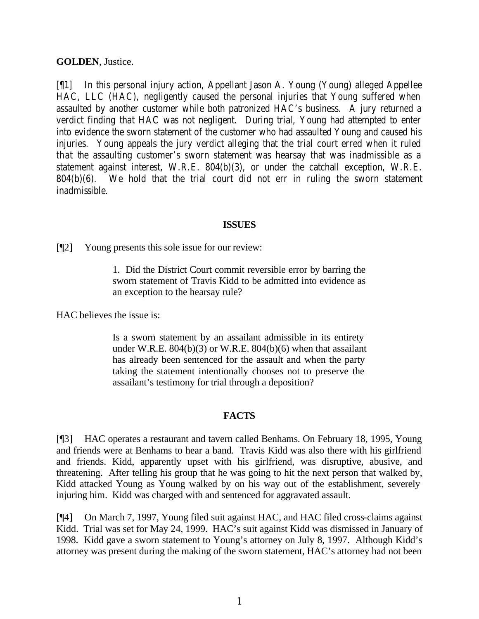### **GOLDEN**, Justice.

[¶1] In this personal injury action, Appellant Jason A. Young (Young) alleged Appellee HAC, LLC (HAC), negligently caused the personal injuries that Young suffered when assaulted by another customer while both patronized HAC's business. A jury returned a verdict finding that HAC was not negligent. During trial, Young had attempted to enter into evidence the sworn statement of the customer who had assaulted Young and caused his injuries. Young appeals the jury verdict alleging that the trial court erred when it ruled that the assaulting customer's sworn statement was hearsay that was inadmissible as a statement against interest, W.R.E. 804(b)(3), or under the catchall exception, W.R.E. 804(b)(6). We hold that the trial court did not err in ruling the sworn statement inadmissible.

#### **ISSUES**

[¶2] Young presents this sole issue for our review:

1. Did the District Court commit reversible error by barring the sworn statement of Travis Kidd to be admitted into evidence as an exception to the hearsay rule?

HAC believes the issue is:

Is a sworn statement by an assailant admissible in its entirety under W.R.E.  $804(b)(3)$  or W.R.E.  $804(b)(6)$  when that assailant has already been sentenced for the assault and when the party taking the statement intentionally chooses not to preserve the assailant's testimony for trial through a deposition?

#### **FACTS**

[¶3] HAC operates a restaurant and tavern called Benhams. On February 18, 1995, Young and friends were at Benhams to hear a band. Travis Kidd was also there with his girlfriend and friends. Kidd, apparently upset with his girlfriend, was disruptive, abusive, and threatening. After telling his group that he was going to hit the next person that walked by, Kidd attacked Young as Young walked by on his way out of the establishment, severely injuring him. Kidd was charged with and sentenced for aggravated assault.

[¶4] On March 7, 1997, Young filed suit against HAC, and HAC filed cross-claims against Kidd. Trial was set for May 24, 1999. HAC's suit against Kidd was dismissed in January of 1998. Kidd gave a sworn statement to Young's attorney on July 8, 1997. Although Kidd's attorney was present during the making of the sworn statement, HAC's attorney had not been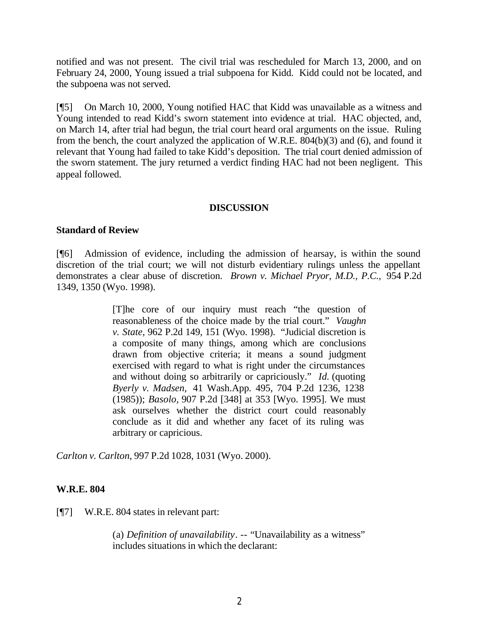notified and was not present. The civil trial was rescheduled for March 13, 2000, and on February 24, 2000, Young issued a trial subpoena for Kidd. Kidd could not be located, and the subpoena was not served.

[¶5] On March 10, 2000, Young notified HAC that Kidd was unavailable as a witness and Young intended to read Kidd's sworn statement into evidence at trial. HAC objected, and, on March 14, after trial had begun, the trial court heard oral arguments on the issue. Ruling from the bench, the court analyzed the application of W.R.E. 804(b)(3) and (6), and found it relevant that Young had failed to take Kidd's deposition. The trial court denied admission of the sworn statement. The jury returned a verdict finding HAC had not been negligent. This appeal followed.

#### **DISCUSSION**

#### **Standard of Review**

[¶6] Admission of evidence, including the admission of hearsay, is within the sound discretion of the trial court; we will not disturb evidentiary rulings unless the appellant demonstrates a clear abuse of discretion. *Brown v. Michael Pryor, M.D., P.C.,* 954 P.2d 1349, 1350 (Wyo. 1998).

> [T]he core of our inquiry must reach "the question of reasonableness of the choice made by the trial court." *Vaughn v. State*, 962 P.2d 149, 151 (Wyo. 1998). "Judicial discretion is a composite of many things, among which are conclusions drawn from objective criteria; it means a sound judgment exercised with regard to what is right under the circumstances and without doing so arbitrarily or capriciously." *Id.* (quoting *Byerly v. Madsen,* 41 Wash.App. 495, 704 P.2d 1236, 1238 (1985)); *Basolo,* 907 P.2d [348] at 353 [Wyo. 1995]. We must ask ourselves whether the district court could reasonably conclude as it did and whether any facet of its ruling was arbitrary or capricious.

*Carlton v. Carlton*, 997 P.2d 1028, 1031 (Wyo. 2000).

### **W.R.E. 804**

[¶7] W.R.E. 804 states in relevant part:

(a) *Definition of unavailability*. -- "Unavailability as a witness" includes situations in which the declarant: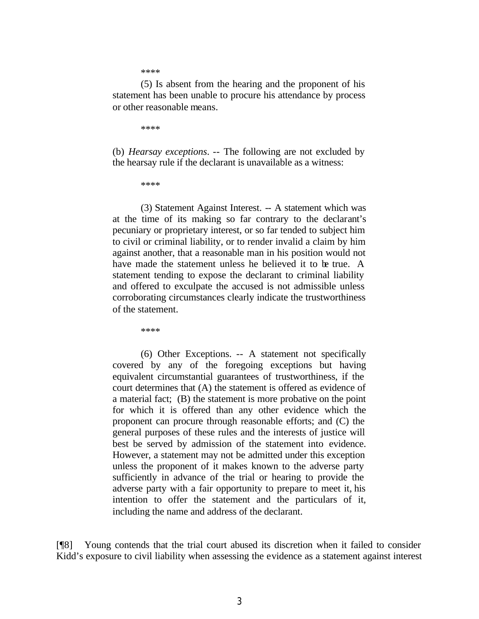\*\*\*\*

(5) Is absent from the hearing and the proponent of his statement has been unable to procure his attendance by process or other reasonable means.

\*\*\*\*

(b) *Hearsay exceptions*. -- The following are not excluded by the hearsay rule if the declarant is unavailable as a witness:

\*\*\*\*

(3) Statement Against Interest. -- A statement which was at the time of its making so far contrary to the declarant's pecuniary or proprietary interest, or so far tended to subject him to civil or criminal liability, or to render invalid a claim by him against another, that a reasonable man in his position would not have made the statement unless he believed it to be true. A statement tending to expose the declarant to criminal liability and offered to exculpate the accused is not admissible unless corroborating circumstances clearly indicate the trustworthiness of the statement.

\*\*\*\*

(6) Other Exceptions. -- A statement not specifically covered by any of the foregoing exceptions but having equivalent circumstantial guarantees of trustworthiness, if the court determines that (A) the statement is offered as evidence of a material fact; (B) the statement is more probative on the point for which it is offered than any other evidence which the proponent can procure through reasonable efforts; and (C) the general purposes of these rules and the interests of justice will best be served by admission of the statement into evidence. However, a statement may not be admitted under this exception unless the proponent of it makes known to the adverse party sufficiently in advance of the trial or hearing to provide the adverse party with a fair opportunity to prepare to meet it, his intention to offer the statement and the particulars of it, including the name and address of the declarant.

[¶8] Young contends that the trial court abused its discretion when it failed to consider Kidd's exposure to civil liability when assessing the evidence as a statement against interest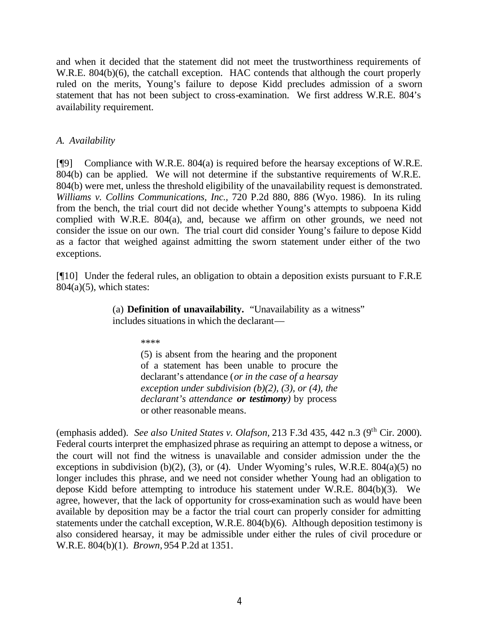and when it decided that the statement did not meet the trustworthiness requirements of W.R.E. 804(b)(6), the catchall exception. HAC contends that although the court properly ruled on the merits, Young's failure to depose Kidd precludes admission of a sworn statement that has not been subject to cross-examination. We first address W.R.E. 804's availability requirement.

### *A. Availability*

[¶9] Compliance with W.R.E. 804(a) is required before the hearsay exceptions of W.R.E. 804(b) can be applied. We will not determine if the substantive requirements of W.R.E. 804(b) were met, unless the threshold eligibility of the unavailability request is demonstrated. *Williams v. Collins Communications, Inc.,* 720 P.2d 880, 886 (Wyo. 1986). In its ruling from the bench, the trial court did not decide whether Young's attempts to subpoena Kidd complied with W.R.E. 804(a), and, because we affirm on other grounds, we need not consider the issue on our own. The trial court did consider Young's failure to depose Kidd as a factor that weighed against admitting the sworn statement under either of the two exceptions.

[¶10] Under the federal rules, an obligation to obtain a deposition exists pursuant to F.R.E  $804(a)(5)$ , which states:

> (a) **Definition of unavailability.** "Unavailability as a witness" includes situations in which the declarant—

> > \*\*\*\*

(5) is absent from the hearing and the proponent of a statement has been unable to procure the declarant's attendance (*or in the case of a hearsay exception under subdivision (b)(2), (3), or (4), the declarant's attendance or testimony)* by process or other reasonable means.

(emphasis added). *See also United States v. Olafson*, 213 F.3d 435, 442 n.3 (9<sup>th</sup> Cir. 2000). Federal courts interpret the emphasized phrase as requiring an attempt to depose a witness, or the court will not find the witness is unavailable and consider admission under the the exceptions in subdivision (b)(2), (3), or (4). Under Wyoming's rules, W.R.E.  $804(a)(5)$  no longer includes this phrase, and we need not consider whether Young had an obligation to depose Kidd before attempting to introduce his statement under W.R.E. 804(b)(3). We agree, however, that the lack of opportunity for cross-examination such as would have been available by deposition may be a factor the trial court can properly consider for admitting statements under the catchall exception, W.R.E. 804(b)(6). Although deposition testimony is also considered hearsay, it may be admissible under either the rules of civil procedure or W.R.E. 804(b)(1). *Brown,* 954 P.2d at 1351.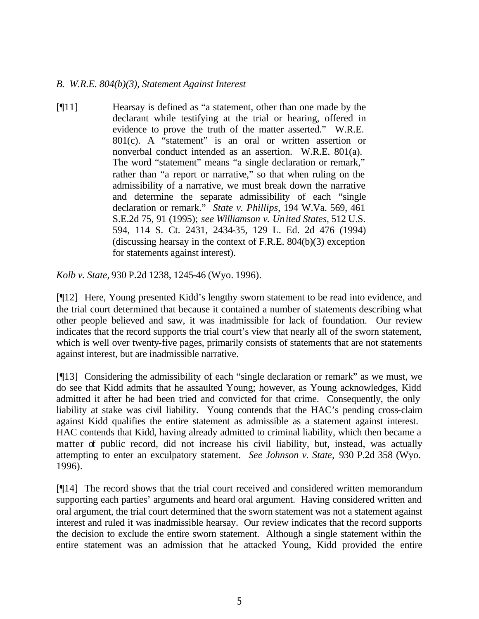### *B. W.R.E. 804(b)(3), Statement Against Interest*

[¶11] Hearsay is defined as "a statement, other than one made by the declarant while testifying at the trial or hearing, offered in evidence to prove the truth of the matter asserted." W.R.E. 801(c). A "statement" is an oral or written assertion or nonverbal conduct intended as an assertion. W.R.E. 801(a). The word "statement" means "a single declaration or remark," rather than "a report or narrative," so that when ruling on the admissibility of a narrative, we must break down the narrative and determine the separate admissibility of each "single declaration or remark." *State v. Phillips*, 194 W.Va. 569, 461 S.E.2d 75, 91 (1995); *see Williamson v. United States*, 512 U.S. 594, 114 S. Ct. 2431, 2434-35, 129 L. Ed. 2d 476 (1994) (discussing hearsay in the context of F.R.E. 804(b)(3) exception for statements against interest).

*Kolb v. State,* 930 P.2d 1238, 1245-46 (Wyo. 1996).

[¶12] Here, Young presented Kidd's lengthy sworn statement to be read into evidence, and the trial court determined that because it contained a number of statements describing what other people believed and saw, it was inadmissible for lack of foundation. Our review indicates that the record supports the trial court's view that nearly all of the sworn statement, which is well over twenty-five pages, primarily consists of statements that are not statements against interest, but are inadmissible narrative.

[¶13] Considering the admissibility of each "single declaration or remark" as we must, we do see that Kidd admits that he assaulted Young; however, as Young acknowledges, Kidd admitted it after he had been tried and convicted for that crime. Consequently, the only liability at stake was civil liability. Young contends that the HAC's pending cross-claim against Kidd qualifies the entire statement as admissible as a statement against interest. HAC contends that Kidd, having already admitted to criminal liability, which then became a matter of public record, did not increase his civil liability, but, instead, was actually attempting to enter an exculpatory statement. *See Johnson v. State,* 930 P.2d 358 (Wyo. 1996).

[¶14] The record shows that the trial court received and considered written memorandum supporting each parties' arguments and heard oral argument. Having considered written and oral argument, the trial court determined that the sworn statement was not a statement against interest and ruled it was inadmissible hearsay. Our review indicates that the record supports the decision to exclude the entire sworn statement. Although a single statement within the entire statement was an admission that he attacked Young, Kidd provided the entire